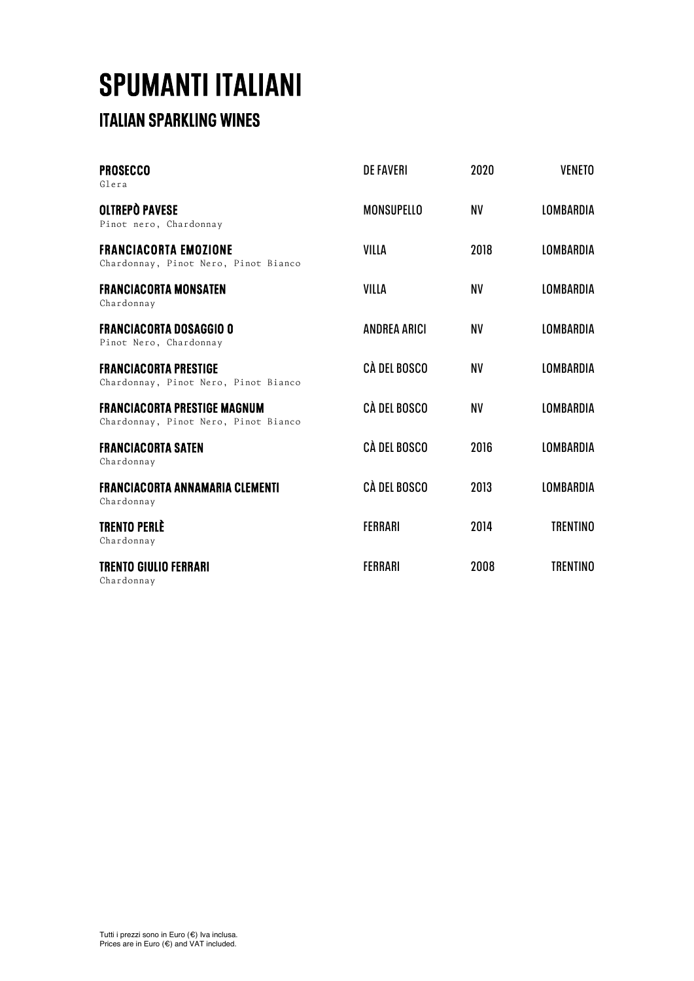### **SPUMANTI ITALIANI**<br>ITALIAN SPARKLING WINES

| <b>PROSECCO</b><br>Glera                                                    | <b>DE FAVERI</b>    | 2020      | <b>VENETO</b>    |
|-----------------------------------------------------------------------------|---------------------|-----------|------------------|
| <b>OLTREPO PAVESE</b><br>Pinot nero, Chardonnay                             | <b>MONSUPELLO</b>   | <b>NV</b> | LOMBARDIA        |
| <b>FRANCIACORTA EMOZIONE</b><br>Chardonnay, Pinot Nero, Pinot Bianco        | VILLA               | 2018      | <b>LOMBARDIA</b> |
| <b>FRANCIACORTA MONSATEN</b><br>Chardonnay                                  | VILLA               | <b>NV</b> | LOMBARDIA        |
| <b>FRANCIACORTA DOSAGGIO O</b><br>Pinot Nero, Chardonnay                    | <b>ANDREA ARICI</b> | <b>NV</b> | <b>LOMBARDIA</b> |
| <b>FRANCIACORTA PRESTIGE</b><br>Chardonnay, Pinot Nero, Pinot Bianco        | CÀ DEL BOSCO        | <b>NV</b> | LOMBARDIA        |
| <b>FRANCIACORTA PRESTIGE MAGNUM</b><br>Chardonnay, Pinot Nero, Pinot Bianco | <b>CÀ DEL BOSCO</b> | <b>NV</b> | <b>LOMBARDIA</b> |
| <b>FRANCIACORTA SATEN</b><br>Chardonnay                                     | CÀ DEL BOSCO        | 2016      | <b>LOMBARDIA</b> |
| <b>FRANCIACORTA ANNAMARIA CLEMENTI</b><br>Chardonnay                        | CÀ DEL BOSCO        | 2013      | <b>LOMBARDIA</b> |
| <b>TRENTO PERLÈ</b><br>Chardonnay                                           | <b>FERRARI</b>      | 2014      | <b>TRENTINO</b>  |
| <b>TRENTO GIULIO FERRARI</b><br>Chardonnay                                  | <b>FERRARI</b>      | 2008      | <b>TRENTINO</b>  |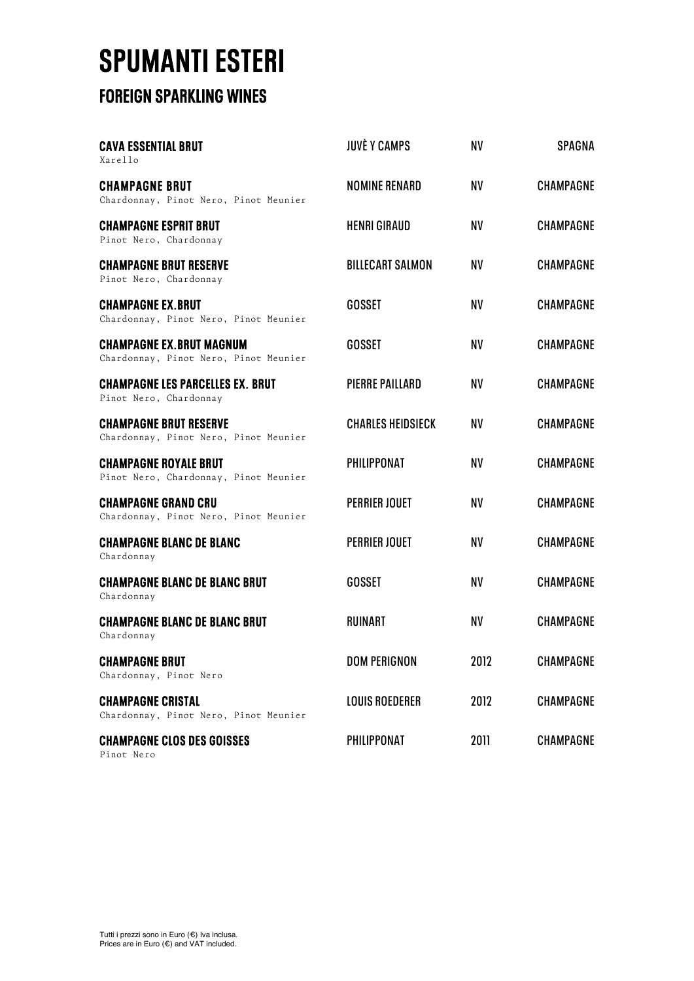# **SPUMANTI ESTERI<br>FOREIGN SPARKLING WINES**

| <b>CAVA ESSENTIAL BRUT</b><br>Xarello                                    | <b>JUVÈ Y CAMPS</b>      | <b>NV</b> | <b>SPAGNA</b>    |
|--------------------------------------------------------------------------|--------------------------|-----------|------------------|
| <b>CHAMPAGNE BRUT</b><br>Chardonnay, Pinot Nero, Pinot Meunier           | <b>NOMINE RENARD</b>     | <b>NV</b> | <b>CHAMPAGNE</b> |
| <b>CHAMPAGNE ESPRIT BRUT</b><br>Pinot Nero, Chardonnay                   | <b>HENRI GIRAUD</b>      | NV        | <b>CHAMPAGNE</b> |
| <b>CHAMPAGNE BRUT RESERVE</b><br>Pinot Nero, Chardonnay                  | <b>BILLECART SALMON</b>  | NV        | <b>CHAMPAGNE</b> |
| <b>CHAMPAGNE EX.BRUT</b><br>Chardonnay, Pinot Nero, Pinot Meunier        | <b>GOSSET</b>            | NV        | <b>CHAMPAGNE</b> |
| <b>CHAMPAGNE EX.BRUT MAGNUM</b><br>Chardonnay, Pinot Nero, Pinot Meunier | <b>GOSSET</b>            | NV        | <b>CHAMPAGNE</b> |
| <b>CHAMPAGNE LES PARCELLES EX. BRUT</b><br>Pinot Nero, Chardonnay        | PIERRE PAILLARD          | NV        | <b>CHAMPAGNE</b> |
| <b>CHAMPAGNE BRUT RESERVE</b><br>Chardonnay, Pinot Nero, Pinot Meunier   | <b>CHARLES HEIDSIECK</b> | NV        | <b>CHAMPAGNE</b> |
| <b>CHAMPAGNE ROYALE BRUT</b><br>Pinot Nero, Chardonnay, Pinot Meunier    | <b>PHILIPPONAT</b>       | <b>NV</b> | <b>CHAMPAGNE</b> |
| <b>CHAMPAGNE GRAND CRU</b><br>Chardonnay, Pinot Nero, Pinot Meunier      | <b>PERRIER JOUET</b>     | NV        | <b>CHAMPAGNE</b> |
| <b>CHAMPAGNE BLANC DE BLANC</b><br>Chardonnay                            | <b>PERRIER JOUET</b>     | NV        | <b>CHAMPAGNE</b> |
| <b>CHAMPAGNE BLANC DE BLANC BRUT</b><br>Chardonnay                       | <b>GOSSET</b>            | NV        | <b>CHAMPAGNE</b> |
| <b>CHAMPAGNE BLANC DE BLANC BRUT</b><br>Chardonnay                       | <b>RUINART</b>           | <b>NV</b> | <b>CHAMPAGNE</b> |
| <b>CHAMPAGNE BRUT</b><br>Chardonnay, Pinot Nero                          | <b>DOM PERIGNON</b>      | 2012      | <b>CHAMPAGNE</b> |
| <b>CHAMPAGNE CRISTAL</b><br>Chardonnay, Pinot Nero, Pinot Meunier        | <b>LOUIS ROEDERER</b>    | 2012      | <b>CHAMPAGNE</b> |
| <b>CHAMPAGNE CLOS DES GOISSES</b><br>Pinot Nero                          | <b>PHILIPPONAT</b>       | 2011      | CHAMPAGNE        |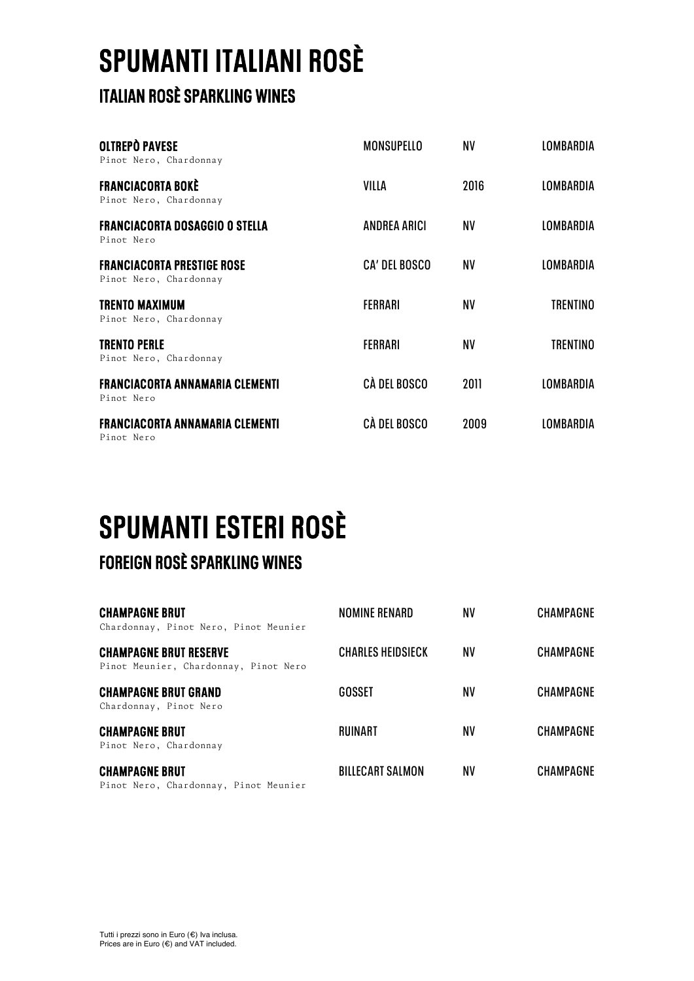# **SPUMANTI ITALIANI ROSÈ**<br>ITALIAN ROSÈ SPARKLING WINES

| <b>OLTREPÒ PAVESE</b><br>Pinot Nero, Chardonnay             | MONSUPELLO           | NV        | LOMBARDIA        |
|-------------------------------------------------------------|----------------------|-----------|------------------|
| <b>FRANCIACORTA BOKÈ</b><br>Pinot Nero, Chardonnay          | VILLA                | 2016      | <b>LOMBARDIA</b> |
| <b>FRANCIACORTA DOSAGGIO O STELLA</b><br>Pinot Nero         | <b>ANDREA ARICI</b>  | ΝV        | LOMBARDIA        |
| <b>FRANCIACORTA PRESTIGE ROSE</b><br>Pinot Nero, Chardonnay | <b>CA' DEL BOSCO</b> | <b>NV</b> | <b>LOMBARDIA</b> |
| <b>TRENTO MAXIMUM</b><br>Pinot Nero, Chardonnay             | <b>FERRARI</b>       | NV        | TRENTINO         |
| <b>TRENTO PERLE</b><br>Pinot Nero, Chardonnay               | <b>FERRARI</b>       | NV        | TRENTINO         |
| <b>FRANCIACORTA ANNAMARIA CLEMENTI</b><br>Pinot Nero        | CÀ DEL BOSCO         | 2011      | LOMBARDIA        |
| <b>FRANCIACORTA ANNAMARIA CLEMENTI</b><br>Pinot Nero        | CÀ DEL BOSCO         | 2009      | IOMRARDIA        |

### **SPUMANTI ESTERI ROSÈ FOREIGN ROSÈ SPARKLING WINES**

| <b>CHAMPAGNE BRUT</b><br>Chardonnay, Pinot Nero, Pinot Meunier         | NOMINE RENARD            | NV | <b>CHAMPAGNE</b> |
|------------------------------------------------------------------------|--------------------------|----|------------------|
| <b>CHAMPAGNE BRUT RESERVE</b><br>Pinot Meunier, Chardonnay, Pinot Nero | <b>CHARLES HEIDSIECK</b> | ΝV | <b>CHAMPAGNE</b> |
| <b>CHAMPAGNE BRUT GRAND</b><br>Chardonnay, Pinot Nero                  | <b>GOSSET</b>            | ΝV | <b>CHAMPAGNE</b> |
| <b>CHAMPAGNE BRUT</b><br>Pinot Nero, Chardonnay                        | RUINART                  | NV | <b>CHAMPAGNE</b> |
| <b>CHAMPAGNE BRUT</b><br>Pinot Nero, Chardonnay, Pinot Meunier         | <b>BILLECART SALMON</b>  | NV | <b>CHAMPAGNE</b> |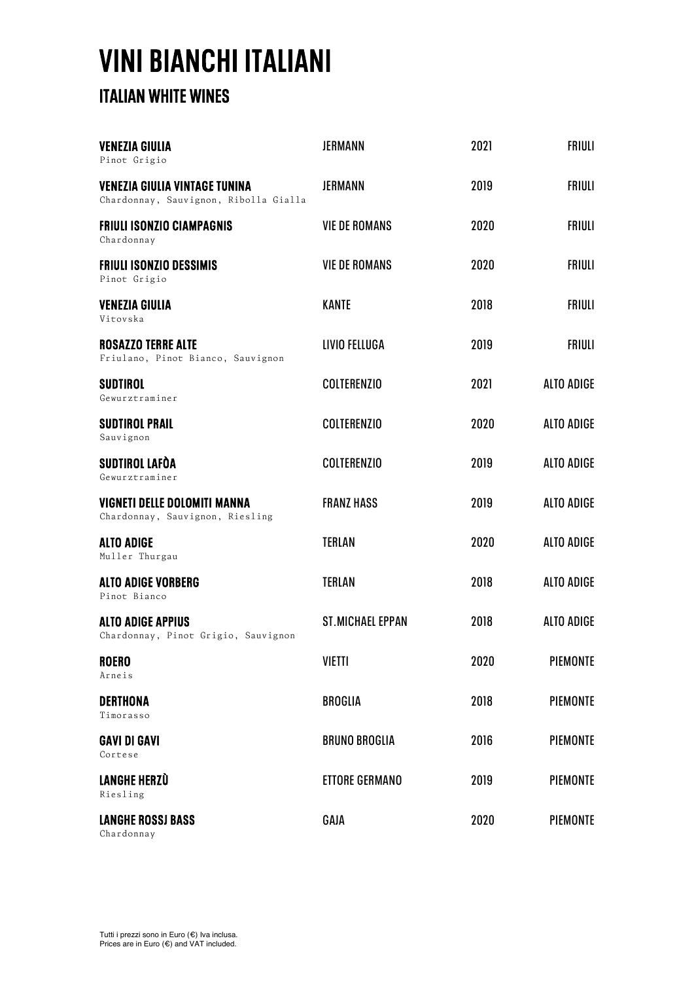# **VINI BIANCHI ITALIANI**<br>ITALIAN WHITE WINES

| <b>VENEZIA GIULIA</b><br>Pinot Grigio                                         | <b>JERMANN</b>          | 2021 | <b>FRIULI</b>     |
|-------------------------------------------------------------------------------|-------------------------|------|-------------------|
| <b>VENEZIA GIULIA VINTAGE TUNINA</b><br>Chardonnay, Sauvignon, Ribolla Gialla | <b>JERMANN</b>          | 2019 | <b>FRIULI</b>     |
| <b>FRIULI ISONZIO CIAMPAGNIS</b><br>Chardonnay                                | <b>VIE DE ROMANS</b>    | 2020 | <b>FRIULI</b>     |
| <b>FRIULI ISONZIO DESSIMIS</b><br>Pinot Grigio                                | <b>VIE DE ROMANS</b>    | 2020 | <b>FRIULI</b>     |
| <b>VENEZIA GIULIA</b><br>Vitovska                                             | <b>KANTE</b>            | 2018 | <b>FRIULI</b>     |
| <b>ROSAZZO TERRE ALTE</b><br>Friulano, Pinot Bianco, Sauvignon                | LIVIO FELLUGA           | 2019 | <b>FRIULI</b>     |
| <b>SUDTIROL</b><br>Gewurztraminer                                             | <b>COLTERENZIO</b>      | 2021 | <b>ALTO ADIGE</b> |
| <b>SUDTIROL PRAIL</b><br>Sauvignon                                            | <b>COLTERENZIO</b>      | 2020 | <b>ALTO ADIGE</b> |
| SUDTIROL LAFÒA<br>Gewurztraminer                                              | <b>COLTERENZIO</b>      | 2019 | <b>ALTO ADIGE</b> |
| VIGNETI DELLE DOLOMITI MANNA<br>Chardonnay, Sauvignon, Riesling               | <b>FRANZ HASS</b>       | 2019 | ALTO ADIGE        |
| <b>ALTO ADIGE</b><br>Muller Thurgau                                           | <b>TERLAN</b>           | 2020 | <b>ALTO ADIGE</b> |
| <b>ALTO ADIGE VORBERG</b><br>Pinot Bianco                                     | <b>TERLAN</b>           | 2018 | <b>ALTO ADIGE</b> |
| <b>ALTO ADIGE APPIUS</b><br>Chardonnay, Pinot Grigio, Sauvignon               | <b>ST.MICHAEL EPPAN</b> | 2018 | <b>ALTO ADIGE</b> |
| <b>ROERO</b><br>Arneis                                                        | <b>VIETTI</b>           | 2020 | <b>PIEMONTE</b>   |
| <b>DERTHONA</b><br>Timorasso                                                  | <b>BROGLIA</b>          | 2018 | <b>PIEMONTE</b>   |
| <b>GAVI DI GAVI</b><br>Cortese                                                | <b>BRUNO BROGLIA</b>    | 2016 | <b>PIEMONTE</b>   |
| <b>LANGHE HERZÙ</b><br>Riesling                                               | <b>ETTORE GERMANO</b>   | 2019 | <b>PIEMONTE</b>   |
| <b>LANGHE ROSSJ BASS</b><br>Chardonnay                                        | GAJA                    | 2020 | <b>PIEMONTE</b>   |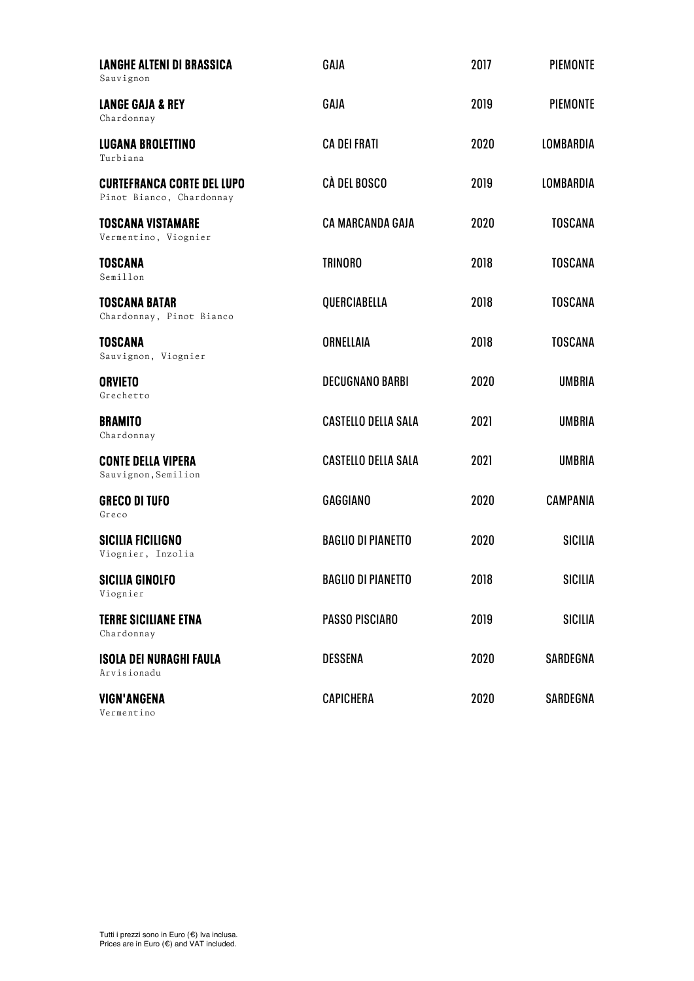| <b>LANGHE ALTENI DI BRASSICA</b><br>Sauvignon                 | GAJA                       | 2017 | <b>PIEMONTE</b>  |
|---------------------------------------------------------------|----------------------------|------|------------------|
| <b>LANGE GAJA &amp; REY</b><br>Chardonnay                     | GAJA                       | 2019 | PIEMONTE         |
| <b>LUGANA BROLETTINO</b><br>Turbiana                          | <b>CA DEI FRATI</b>        | 2020 | <b>LOMBARDIA</b> |
| <b>CURTEFRANCA CORTE DEL LUPO</b><br>Pinot Bianco, Chardonnay | CÀ DEL BOSCO               | 2019 | <b>LOMBARDIA</b> |
| <b>TOSCANA VISTAMARE</b><br>Vermentino, Viognier              | <b>CA MARCANDA GAJA</b>    | 2020 | <b>TOSCANA</b>   |
| <b>TOSCANA</b><br>Semillon                                    | <b>TRINORO</b>             | 2018 | <b>TOSCANA</b>   |
| <b>TOSCANA BATAR</b><br>Chardonnay, Pinot Bianco              | QUERCIABELLA               | 2018 | <b>TOSCANA</b>   |
| <b>TOSCANA</b><br>Sauvignon, Viognier                         | ORNELLAIA                  | 2018 | <b>TOSCANA</b>   |
| <b>ORVIETO</b><br>Grechetto                                   | <b>DECUGNANO BARBI</b>     | 2020 | <b>UMBRIA</b>    |
| <b>BRAMITO</b><br>Chardonnay                                  | <b>CASTELLO DELLA SALA</b> | 2021 | <b>UMBRIA</b>    |
| <b>CONTE DELLA VIPERA</b><br>Sauvignon, Semilion              | <b>CASTELLO DELLA SALA</b> | 2021 | <b>UMBRIA</b>    |
| <b>GRECO DI TUFO</b><br>Greco                                 | <b>GAGGIANO</b>            | 2020 | <b>CAMPANIA</b>  |
| <b>SICILIA FICILIGNO</b><br>Viognier, Inzolia                 | <b>BAGLIO DI PIANETTO</b>  | 2020 | <b>SICILIA</b>   |
| <b>SICILIA GINOLFO</b><br>Viognier                            | <b>BAGLIO DI PIANETTO</b>  | 2018 | SICILIA          |
| <b>TERRE SICILIANE ETNA</b><br>Chardonnay                     | PASSO PISCIARO             | 2019 | SICILIA          |
| <b>ISOLA DEI NURAGHI FAULA</b><br>Arvisionadu                 | <b>DESSENA</b>             | 2020 | SARDEGNA         |
| <b>VIGN'ANGENA</b><br>Vermentino                              | <b>CAPICHERA</b>           | 2020 | SARDEGNA         |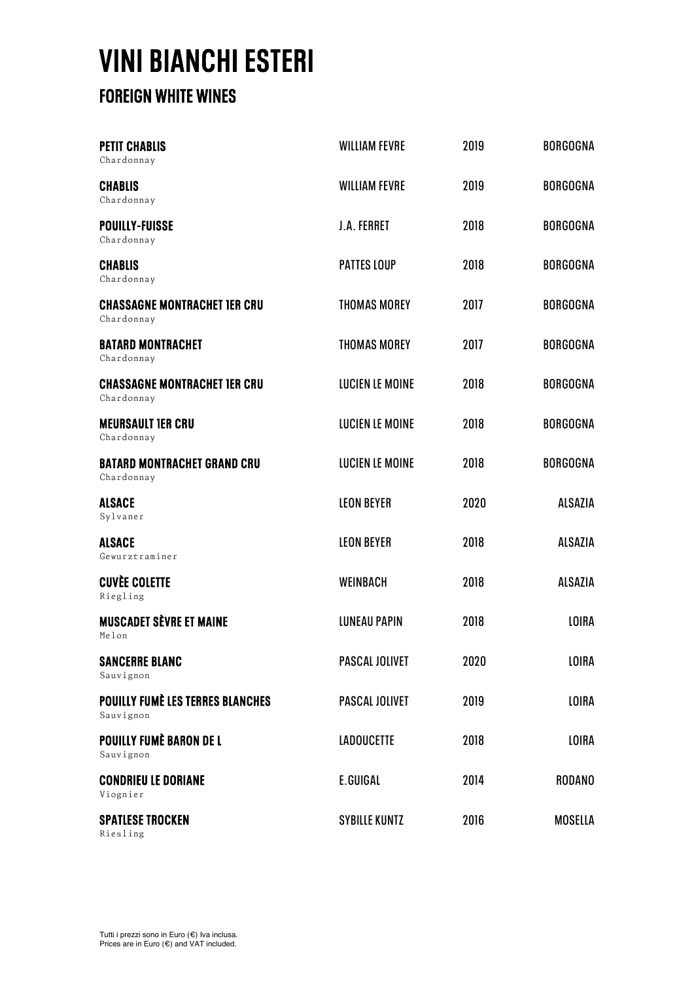# **VINI BIANCHI ESTERI FOREIGN WHITE WINES**

| <b>PETIT CHABLIS</b><br>Chardonnay                   | <b>WILLIAM FEVRE</b>   | 2019 | <b>BORGOGNA</b> |
|------------------------------------------------------|------------------------|------|-----------------|
| <b>CHABLIS</b><br>Chardonnay                         | <b>WILLIAM FEVRE</b>   | 2019 | <b>BORGOGNA</b> |
| <b>POUILLY-FUISSE</b><br>Chardonnay                  | <b>J.A. FERRET</b>     | 2018 | <b>BORGOGNA</b> |
| <b>CHABLIS</b><br>Chardonnay                         | <b>PATTES LOUP</b>     | 2018 | <b>BORGOGNA</b> |
| <b>CHASSAGNE MONTRACHET IER CRU</b><br>Chardonnay    | <b>THOMAS MOREY</b>    | 2017 | <b>BORGOGNA</b> |
| <b>BATARD MONTRACHET</b><br>Chardonnay               | <b>THOMAS MOREY</b>    | 2017 | <b>BORGOGNA</b> |
| <b>CHASSAGNE MONTRACHET IER CRU</b><br>Chardonnay    | <b>LUCIEN LE MOINE</b> | 2018 | <b>BORGOGNA</b> |
| <b>MEURSAULT IER CRU</b><br>Chardonnay               | <b>LUCIEN LE MOINE</b> | 2018 | <b>BORGOGNA</b> |
| <b>BATARD MONTRACHET GRAND CRU</b><br>Chardonnay     | <b>LUCIEN LE MOINE</b> | 2018 | <b>BORGOGNA</b> |
| <b>ALSACE</b><br>Sylvaner                            | <b>LEON BEYER</b>      | 2020 | <b>ALSAZIA</b>  |
| <b>ALSACE</b><br>Gewurztraminer                      | <b>LEON BEYER</b>      | 2018 | <b>ALSAZIA</b>  |
| <b>CUVÈE COLETTE</b><br>Riegling                     | <b>WEINBACH</b>        | 2018 | <b>ALSAZIA</b>  |
| <b>MUSCADET SÈVRE ET MAINE</b><br>Melon              | <b>LUNEAU PAPIN</b>    | 2018 | <b>LOIRA</b>    |
| <b>SANCERRE BLANC</b><br>Sauvignon                   | <b>PASCAL JOLIVET</b>  | 2020 | LOIRA           |
| <b>POUILLY FUMÈ LES TERRES BLANCHES</b><br>Sauvignon | PASCAL JOLIVET         | 2019 | <b>LOIRA</b>    |
| <b>POUILLY FUMÈ BARON DE L</b><br>Sauvignon          | <b>LADOUCETTE</b>      | 2018 | <b>LOIRA</b>    |
| <b>CONDRIEU LE DORIANE</b><br>Viognier               | E.GUIGAL               | 2014 | <b>RODANO</b>   |
| <b>SPATLESE TROCKEN</b><br>Riesling                  | <b>SYBILLE KUNTZ</b>   | 2016 | <b>MOSELLA</b>  |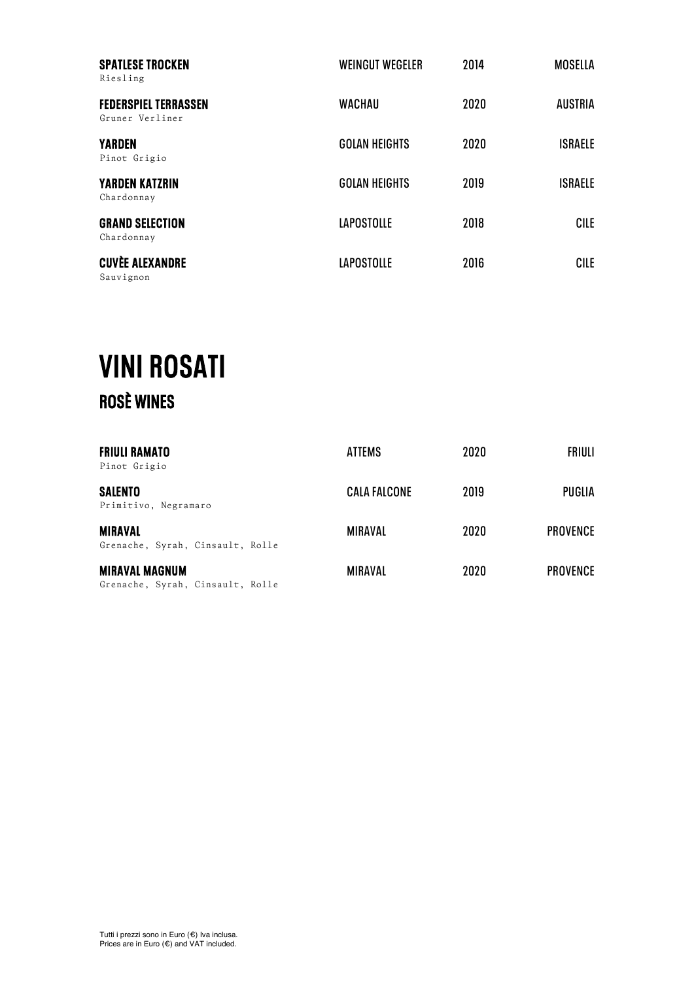| <b>SPATLESE TROCKEN</b><br>Riesling            | <b>WEINGUT WEGELER</b> | 2014 | <b>MOSELLA</b> |
|------------------------------------------------|------------------------|------|----------------|
| <b>FEDERSPIEL TERRASSEN</b><br>Gruner Verliner | <b>WACHAU</b>          | 2020 | <b>AUSTRIA</b> |
| <b>YARDEN</b><br>Pinot Grigio                  | <b>GOLAN HEIGHTS</b>   | 2020 | <b>ISRAELE</b> |
| <b>YARDEN KATZRIN</b><br>Chardonnay            | <b>GOLAN HEIGHTS</b>   | 2019 | <b>ISRAELE</b> |
| <b>GRAND SELECTION</b><br>Chardonnay           | <b>LAPOSTOLLE</b>      | 2018 | CILE           |
| <b>CUVÈE ALEXANDRE</b><br>Sauvignon            | <b>LAPOSTOLLE</b>      | 2016 | CILE           |

### **VINI ROSATI**<br>ROSÈ WINES

| <b>FRIULI RAMATO</b><br>Pinot Grigio                      | <b>ATTEMS</b>       | 2020 | <b>FRIULI</b>   |
|-----------------------------------------------------------|---------------------|------|-----------------|
| <b>SALENTO</b><br>Primitivo, Negramaro                    | <b>CALA FALCONE</b> | 2019 | <b>PUGLIA</b>   |
| <b>MIRAVAL</b><br>Grenache, Syrah, Cinsault, Rolle        | MIRAVAL             | 2020 | <b>PROVENCE</b> |
| <b>MIRAVAL MAGNUM</b><br>Grenache, Syrah, Cinsault, Rolle | <b>MIRAVAL</b>      | 2020 | <b>PROVENCE</b> |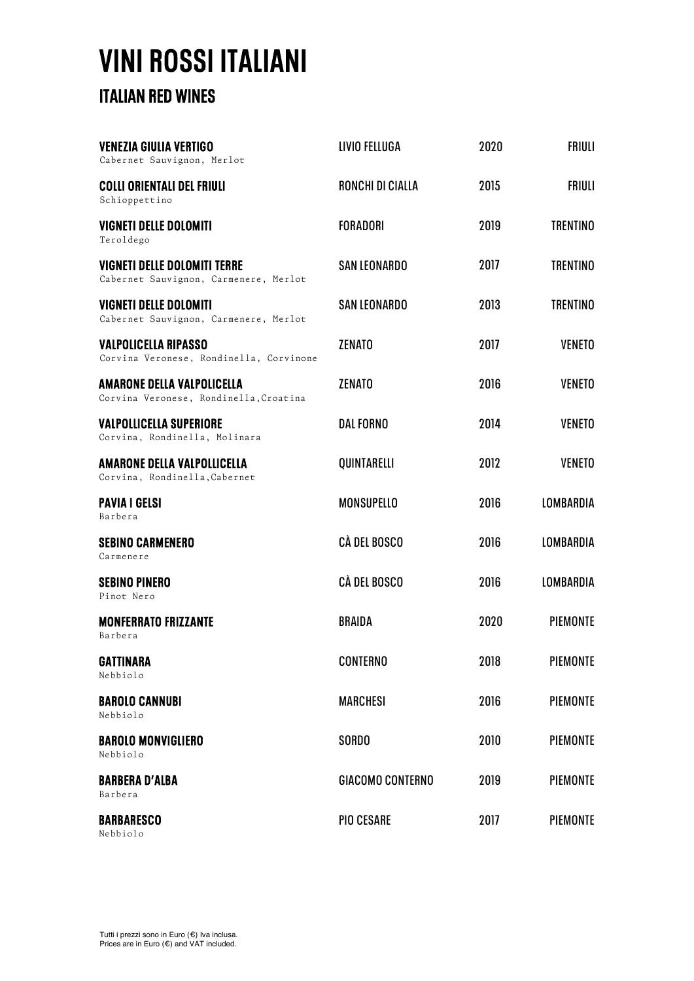# **VINI ROSSI ITALIANI**<br>ITALIAN RED WINES

| <b>VENEZIA GIULIA VERTIGO</b><br>Cabernet Sauvignon, Merlot                  | LIVIO FELLUGA           | 2020 | <b>FRIULI</b>    |
|------------------------------------------------------------------------------|-------------------------|------|------------------|
| <b>COLLI ORIENTALI DEL FRIULI</b><br>Schioppettino                           | RONCHI DI CIALLA        | 2015 | <b>FRIULI</b>    |
| <b>VIGNETI DELLE DOLOMITI</b><br>Teroldego                                   | <b>FORADORI</b>         | 2019 | <b>TRENTINO</b>  |
| <b>VIGNETI DELLE DOLOMITI TERRE</b><br>Cabernet Sauvignon, Carmenere, Merlot | <b>SAN LEONARDO</b>     | 2017 | <b>TRENTINO</b>  |
| <b>VIGNETI DELLE DOLOMITI</b><br>Cabernet Sauvignon, Carmenere, Merlot       | <b>SAN LEONARDO</b>     | 2013 | <b>TRENTINO</b>  |
| <b>VALPOLICELLA RIPASSO</b><br>Corvina Veronese, Rondinella, Corvinone       | <b>ZENATO</b>           | 2017 | <b>VENETO</b>    |
| <b>AMARONE DELLA VALPOLICELLA</b><br>Corvina Veronese, Rondinella, Croatina  | <b>ZENATO</b>           | 2016 | <b>VENETO</b>    |
| <b>VALPOLLICELLA SUPERIORE</b><br>Corvina, Rondinella, Molinara              | <b>DAL FORNO</b>        | 2014 | <b>VENETO</b>    |
| <b>AMARONE DELLA VALPOLLICELLA</b><br>Corvina, Rondinella, Cabernet          | QUINTARELLI             | 2012 | <b>VENETO</b>    |
| <b>PAVIA I GELSI</b><br>Barbera                                              | <b>MONSUPELLO</b>       | 2016 | <b>LOMBARDIA</b> |
| <b>SEBINO CARMENERO</b><br>Carmenere                                         | CÀ DEL BOSCO            | 2016 | <b>LOMBARDIA</b> |
| <b>SEBINO PINERO</b><br>Pinot Nero                                           | <b>CÀ DEL BOSCO</b>     | 2016 | <b>LOMBARDIA</b> |
| <b>MONFERRATO FRIZZANTE</b><br>Barbera                                       | <b>BRAIDA</b>           | 2020 | <b>PIEMONTE</b>  |
| <b>GATTINARA</b><br>Nebbiolo                                                 | <b>CONTERNO</b>         | 2018 | <b>PIEMONTE</b>  |
| <b>BAROLO CANNUBI</b><br>Nebbiolo                                            | <b>MARCHESI</b>         | 2016 | PIEMONTE         |
| <b>BAROLO MONVIGLIERO</b><br>Nebbiolo                                        | <b>SORDO</b>            | 2010 | <b>PIEMONTE</b>  |
| <b>BARBERA D'ALBA</b><br>Barbera                                             | <b>GIACOMO CONTERNO</b> | 2019 | <b>PIEMONTE</b>  |
| <b>BARBARESCO</b><br>Nebbiolo                                                | <b>PIO CESARE</b>       | 2017 | PIEMONTE         |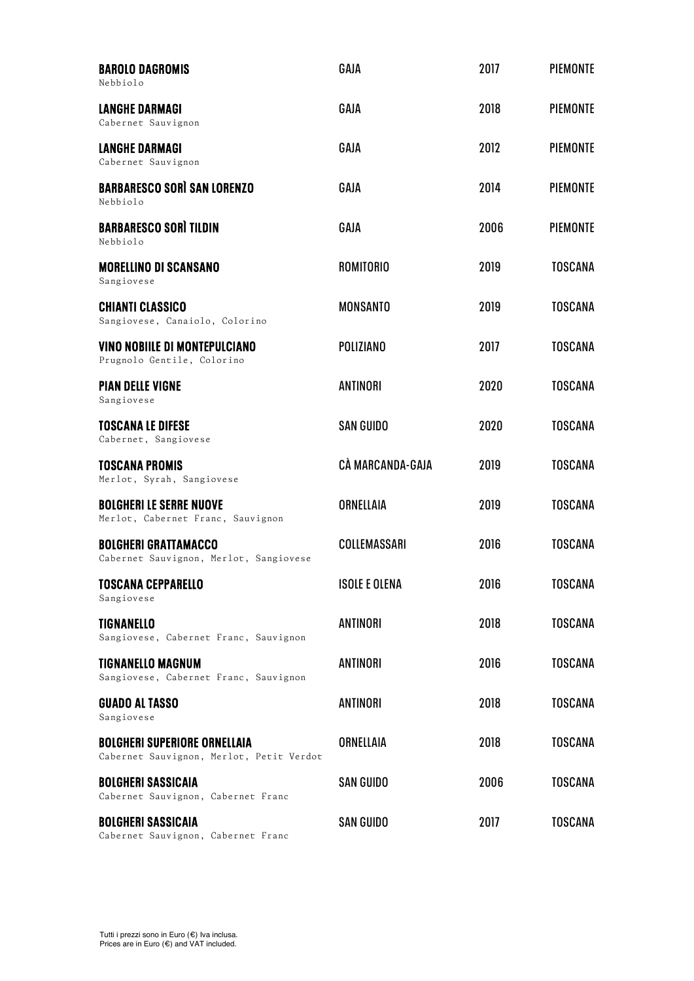| <b>BAROLO DAGROMIS</b><br>Nebbiolo                                              | GAJA                 | 2017 | <b>PIEMONTE</b> |
|---------------------------------------------------------------------------------|----------------------|------|-----------------|
| <b>LANGHE DARMAGI</b><br>Cabernet Sauvignon                                     | GAJA                 | 2018 | <b>PIEMONTE</b> |
| <b>LANGHE DARMAGI</b><br>Cabernet Sauvignon                                     | GAJA                 | 2012 | <b>PIEMONTE</b> |
| <b>BARBARESCO SORÌ SAN LORENZO</b><br>Nebbiolo                                  | GAJA                 | 2014 | <b>PIEMONTE</b> |
| <b>BARBARESCO SORÌ TILDIN</b><br>Nebbiolo                                       | GAJA                 | 2006 | <b>PIEMONTE</b> |
| <b>MORELLINO DI SCANSANO</b><br>Sangiovese                                      | <b>ROMITORIO</b>     | 2019 | <b>TOSCANA</b>  |
| <b>CHIANTI CLASSICO</b><br>Sangiovese, Canaiolo, Colorino                       | <b>MONSANTO</b>      | 2019 | <b>TOSCANA</b>  |
| <b>VINO NOBILLE DI MONTEPULCIANO</b><br>Prugnolo Gentile, Colorino              | <b>POLIZIANO</b>     | 2017 | <b>TOSCANA</b>  |
| <b>PIAN DELLE VIGNE</b><br>Sangiovese                                           | <b>ANTINORI</b>      | 2020 | <b>TOSCANA</b>  |
| <b>TOSCANA LE DIFESE</b><br>Cabernet, Sangiovese                                | <b>SAN GUIDO</b>     | 2020 | <b>TOSCANA</b>  |
| <b>TOSCANA PROMIS</b><br>Merlot, Syrah, Sangiovese                              | CÀ MARCANDA-GAJA     | 2019 | <b>TOSCANA</b>  |
| <b>BOLGHERI LE SERRE NUOVE</b><br>Merlot, Cabernet Franc, Sauvignon             | <b>ORNELLAIA</b>     | 2019 | <b>TOSCANA</b>  |
| <b>BOLGHERI GRATTAMACCO</b><br>Cabernet Sauvignon, Merlot, Sangiovese           | COLLEMASSARI         | 2016 | <b>TOSCANA</b>  |
| <b>TOSCANA CEPPARELLO</b><br>Sangiovese                                         | <b>ISOLE E OLENA</b> | 2016 | <b>TOSCANA</b>  |
| <b>TIGNANELLO</b><br>Sangiovese, Cabernet Franc, Sauvignon                      | ANTINORI             | 2018 | <b>TOSCANA</b>  |
| <b>TIGNANELLO MAGNUM</b><br>Sangiovese, Cabernet Franc, Sauvignon               | ANTINORI             | 2016 | <b>TOSCANA</b>  |
| <b>GUADO AL TASSO</b><br>Sangiovese                                             | ANTINORI             | 2018 | <b>TOSCANA</b>  |
| <b>BOLGHERI SUPERIORE ORNELLAIA</b><br>Cabernet Sauvignon, Merlot, Petit Verdot | ORNELLAIA            | 2018 | <b>TOSCANA</b>  |
| <b>BOLGHERI SASSICAIA</b><br>Cabernet Sauvignon, Cabernet Franc                 | <b>SAN GUIDO</b>     | 2006 | <b>TOSCANA</b>  |
| <b>BOLGHERI SASSICAIA</b><br>Cabernet Sauvignon, Cabernet Franc                 | <b>SAN GUIDO</b>     | 2017 | <b>TOSCANA</b>  |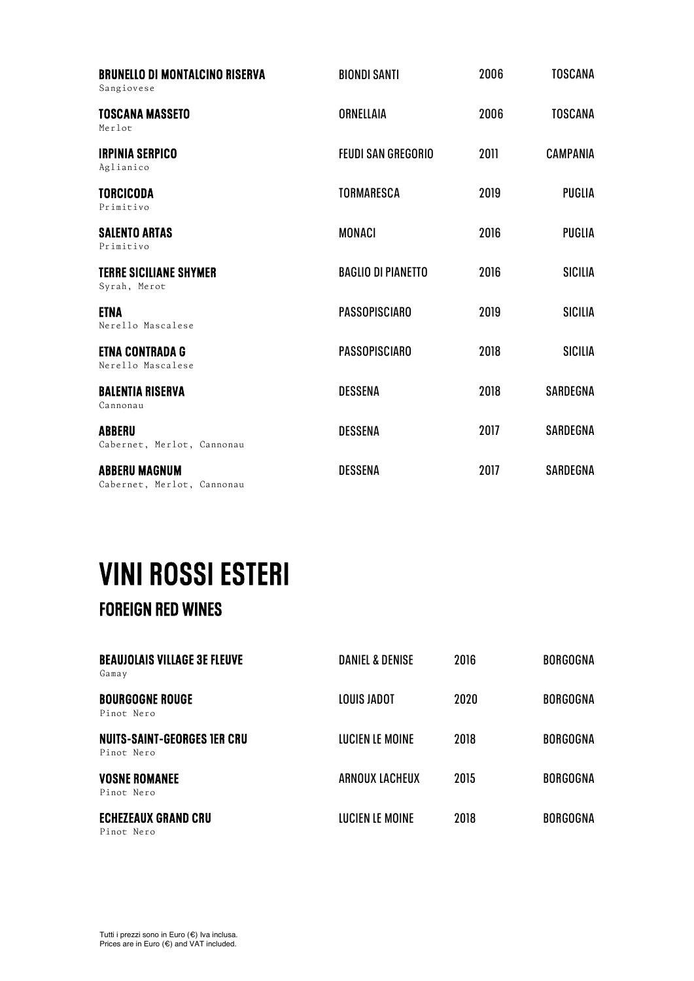| <b>BRUNELLO DI MONTALCINO RISERVA</b><br>Sangiovese | <b>BIONDI SANTI</b>       | 2006 | <b>TOSCANA</b>  |
|-----------------------------------------------------|---------------------------|------|-----------------|
| <b>TOSCANA MASSETO</b><br>Merlot                    | ORNELLAIA                 | 2006 | <b>TOSCANA</b>  |
| <b>IRPINIA SERPICO</b><br>Aglianico                 | <b>FEUDI SAN GREGORIO</b> | 2011 | <b>CAMPANIA</b> |
| <b>TORCICODA</b><br>Primitivo                       | <b>TORMARESCA</b>         | 2019 | <b>PUGLIA</b>   |
| <b>SALENTO ARTAS</b><br>Primitivo                   | <b>MONACI</b>             | 2016 | <b>PUGLIA</b>   |
| <b>TERRE SICILIANE SHYMER</b><br>Syrah, Merot       | <b>BAGLIO DI PIANETTO</b> | 2016 | <b>SICILIA</b>  |
| <b>ETNA</b><br>Nerello Mascalese                    | <b>PASSOPISCIARO</b>      | 2019 | <b>SICILIA</b>  |
| <b>ETNA CONTRADA G</b><br>Nerello Mascalese         | <b>PASSOPISCIARO</b>      | 2018 | <b>SICILIA</b>  |
| <b>BALENTIA RISERVA</b><br>Cannonau                 | <b>DESSENA</b>            | 2018 | SARDEGNA        |
| <b>ABBERU</b><br>Cabernet, Merlot, Cannonau         | <b>DESSENA</b>            | 2017 | SARDEGNA        |
| <b>ABBERU MAGNUM</b><br>Cabernet, Merlot, Cannonau  | <b>DESSENA</b>            | 2017 | SARDEGNA        |

### **VINI ROSSI ESTERI<br>FOREIGN RED WINES**

| <b>BEAUJOLAIS VILLAGE 3E FLEUVE</b><br>Gamay     | <b>DANIEL &amp; DENISE</b> | 2016 | <b>BORGOGNA</b> |
|--------------------------------------------------|----------------------------|------|-----------------|
| <b>BOURGOGNE ROUGE</b><br>Pinot Nero             | LOUIS JADOT                | 2020 | <b>BORGOGNA</b> |
| <b>NUITS-SAINT-GEORGES IER CRU</b><br>Pinot Nero | <b>LUCIEN LE MOINE</b>     | 2018 | <b>BORGOGNA</b> |
| <b>VOSNE ROMANEE</b><br>Pinot Nero               | ARNOUX LACHEUX             | 2015 | <b>BORGOGNA</b> |
| <b>ECHEZEAUX GRAND CRU</b>                       | <b>LUCIEN LE MOINE</b>     | 2018 | <b>BORGOGNA</b> |

Pinot Nero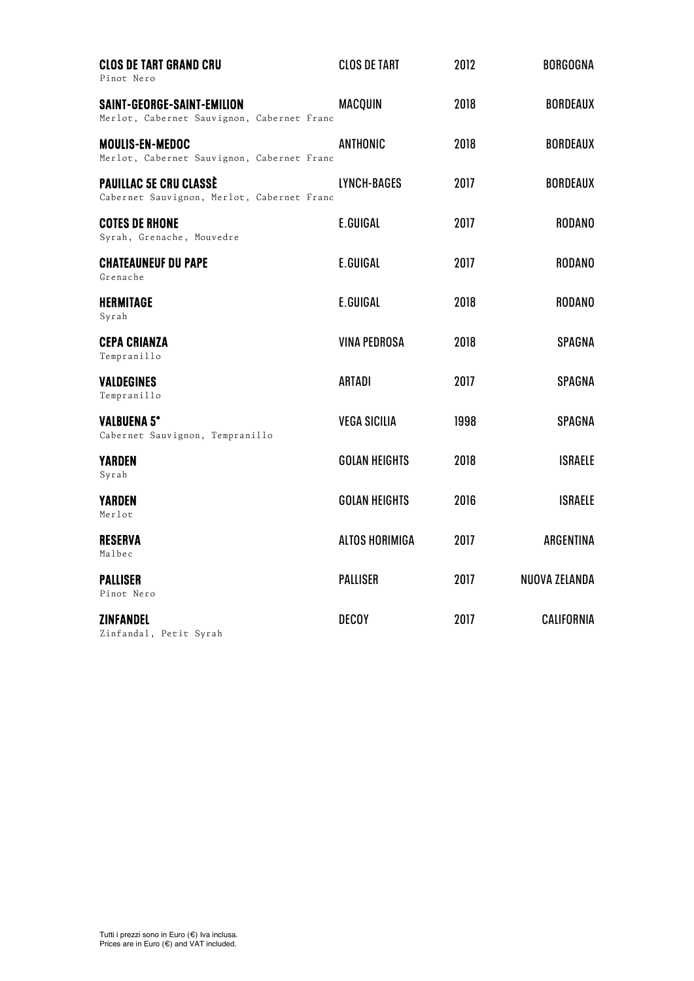| <b>CLOS DE TART GRAND CRU</b><br>Pinot Nero                                 | <b>CLOS DE TART</b>   | 2012 | <b>BORGOGNA</b> |
|-----------------------------------------------------------------------------|-----------------------|------|-----------------|
| SAINT-GEORGE-SAINT-EMILION<br>Merlot, Cabernet Sauvignon, Cabernet Franc    | <b>MACQUIN</b>        | 2018 | <b>BORDEAUX</b> |
| <b>MOULIS-EN-MEDOC</b><br>Merlot, Cabernet Sauvignon, Cabernet Franc        | ANTHONIC              | 2018 | <b>BORDEAUX</b> |
| <b>PAUILLAC 5E CRU CLASSÈ</b><br>Cabernet Sauvignon, Merlot, Cabernet Franc | LYNCH-BAGES           | 2017 | <b>BORDEAUX</b> |
| <b>COTES DE RHONE</b><br>Syrah, Grenache, Mouvedre                          | E.GUIGAL              | 2017 | <b>RODANO</b>   |
| <b>CHATEAUNEUF DU PAPE</b><br>Grenache                                      | E.GUIGAL              | 2017 | <b>RODANO</b>   |
| <b>HERMITAGE</b><br>Syrah                                                   | E.GUIGAL              | 2018 | <b>RODANO</b>   |
| <b>CEPA CRIANZA</b><br>Tempranillo                                          | <b>VINA PEDROSA</b>   | 2018 | <b>SPAGNA</b>   |
| <b>VALDEGINES</b><br>Tempranillo                                            | ARTADI                | 2017 | SPAGNA          |
| <b>VALBUENA 5°</b><br>Cabernet Sauvignon, Tempranillo                       | <b>VEGA SICILIA</b>   | 1998 | SPAGNA          |
| <b>YARDEN</b><br>Syrah                                                      | <b>GOLAN HEIGHTS</b>  | 2018 | <b>ISRAELE</b>  |
| <b>YARDEN</b><br>Merlot                                                     | <b>GOLAN HEIGHTS</b>  | 2016 | <b>ISRAELE</b>  |
| <b>RESERVA</b><br>Malbec                                                    | <b>ALTOS HORIMIGA</b> | 2017 | ARGENTINA       |
| <b>PALLISER</b><br>Pinot Nero                                               | <b>PALLISER</b>       | 2017 | NUOVA ZELANDA   |
| <b>ZINFANDEL</b><br>Zinfandal, Petit Syrah                                  | <b>DECOY</b>          | 2017 | CALIFORNIA      |